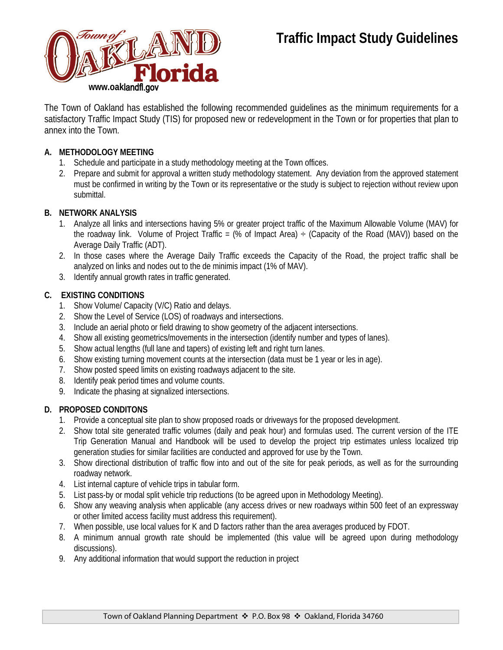# **Traffic Impact Study Guidelines**



The Town of Oakland has established the following recommended guidelines as the minimum requirements for a satisfactory Traffic Impact Study (TIS) for proposed new or redevelopment in the Town or for properties that plan to annex into the Town.

## **A. METHODOLOGY MEETING**

- 1. Schedule and participate in a study methodology meeting at the Town offices.
- 2. Prepare and submit for approval a written study methodology statement. Any deviation from the approved statement must be confirmed in writing by the Town or its representative or the study is subject to rejection without review upon submittal.

### **B. NETWORK ANALYSIS**

- 1. Analyze all links and intersections having 5% or greater project traffic of the Maximum Allowable Volume (MAV) for the roadway link. Volume of Project Traffic = (% of Impact Area)  $\div$  (Capacity of the Road (MAV)) based on the Average Daily Traffic (ADT).
- 2. In those cases where the Average Daily Traffic exceeds the Capacity of the Road, the project traffic shall be analyzed on links and nodes out to the de minimis impact (1% of MAV).
- 3. Identify annual growth rates in traffic generated.

### **C. EXISTING CONDITIONS**

- 1. Show Volume/ Capacity (V/C) Ratio and delays.
- 2. Show the Level of Service (LOS) of roadways and intersections.
- 3. Include an aerial photo or field drawing to show geometry of the adjacent intersections.
- 4. Show all existing geometrics/movements in the intersection (identify number and types of lanes).
- 5. Show actual lengths (full lane and tapers) of existing left and right turn lanes.
- 6. Show existing turning movement counts at the intersection (data must be 1 year or les in age).
- 7. Show posted speed limits on existing roadways adjacent to the site.
- 8. Identify peak period times and volume counts.
- 9. Indicate the phasing at signalized intersections.

#### **D. PROPOSED CONDITONS**

- 1. Provide a conceptual site plan to show proposed roads or driveways for the proposed development.
- 2. Show total site generated traffic volumes (daily and peak hour) and formulas used. The current version of the ITE Trip Generation Manual and Handbook will be used to develop the project trip estimates unless localized trip generation studies for similar facilities are conducted and approved for use by the Town.
- 3. Show directional distribution of traffic flow into and out of the site for peak periods, as well as for the surrounding roadway network.
- 4. List internal capture of vehicle trips in tabular form.
- 5. List pass-by or modal split vehicle trip reductions (to be agreed upon in Methodology Meeting).
- 6. Show any weaving analysis when applicable (any access drives or new roadways within 500 feet of an expressway or other limited access facility must address this requirement).
- 7. When possible, use local values for K and D factors rather than the area averages produced by FDOT.
- 8. A minimum annual growth rate should be implemented (this value will be agreed upon during methodology discussions).
- 9. Any additional information that would support the reduction in project